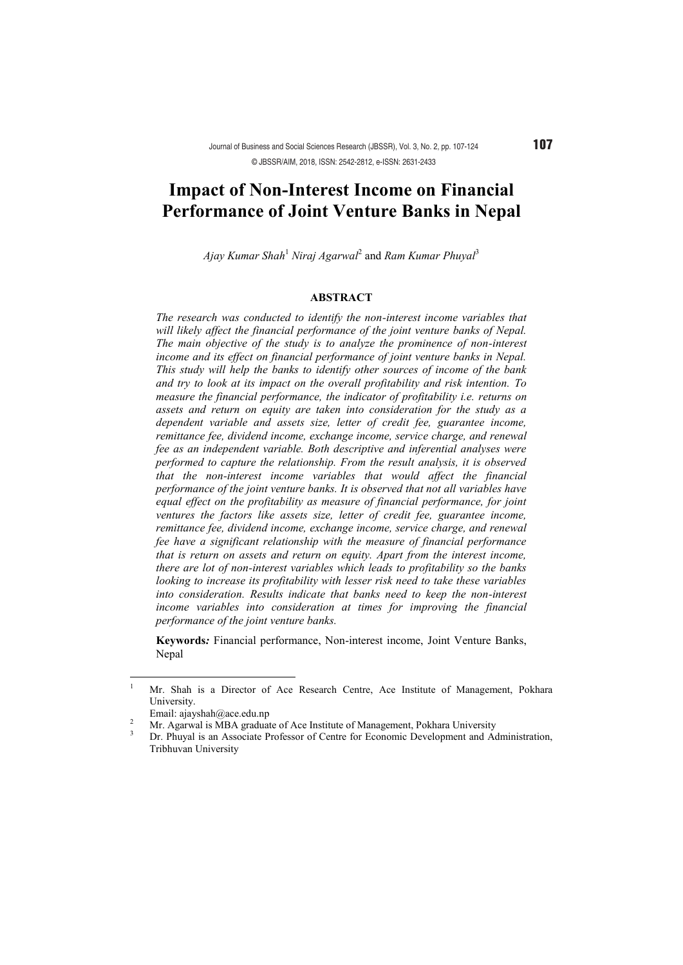# **Impact of Non-Interest Income on Financial Performance of Joint Venture Banks in Nepal**

*Ajay Kumar Shah*<sup>1</sup> *Niraj Agarwal*<sup>2</sup> and *Ram Kumar Phuyal*<sup>3</sup>

## **ABSTRACT**

*The research was conducted to identify the non-interest income variables that will likely affect the financial performance of the joint venture banks of Nepal. The main objective of the study is to analyze the prominence of non-interest income and its effect on financial performance of joint venture banks in Nepal. This study will help the banks to identify other sources of income of the bank and try to look at its impact on the overall profitability and risk intention. To measure the financial performance, the indicator of profitability i.e. returns on assets and return on equity are taken into consideration for the study as a dependent variable and assets size, letter of credit fee, guarantee income, remittance fee, dividend income, exchange income, service charge, and renewal fee as an independent variable. Both descriptive and inferential analyses were performed to capture the relationship. From the result analysis, it is observed that the non-interest income variables that would affect the financial performance of the joint venture banks. It is observed that not all variables have equal effect on the profitability as measure of financial performance, for joint ventures the factors like assets size, letter of credit fee, guarantee income, remittance fee, dividend income, exchange income, service charge, and renewal fee have a significant relationship with the measure of financial performance that is return on assets and return on equity. Apart from the interest income, there are lot of non-interest variables which leads to profitability so the banks looking to increase its profitability with lesser risk need to take these variables into consideration. Results indicate that banks need to keep the non-interest income variables into consideration at times for improving the financial performance of the joint venture banks.* 

**Keywords***:* Financial performance, Non-interest income, Joint Venture Banks, Nepal

 $\overline{\phantom{a}}$ 

<sup>1</sup> Mr. Shah is a Director of Ace Research Centre, Ace Institute of Management, Pokhara University.

Email: ajayshah@ace.edu.np<br>
<sup>2</sup> Mr. Agarwal is MBA graduate of Ace Institute of Management, Pokhara University<br>
<sup>3</sup> Dr. Phuyal is an Associate Professor of Centre for Economic Development and Administration, Tribhuvan University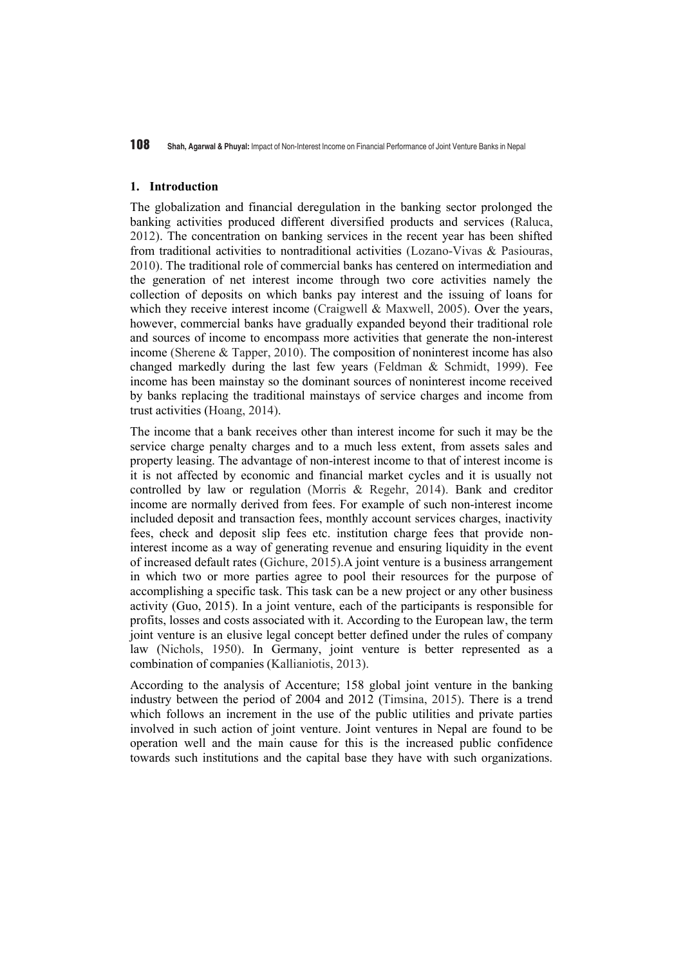#### **1. Introduction**

The globalization and financial deregulation in the banking sector prolonged the banking activities produced different diversified products and services (Raluca, 2012). The concentration on banking services in the recent year has been shifted from traditional activities to nontraditional activities (Lozano-Vivas & Pasiouras, 2010). The traditional role of commercial banks has centered on intermediation and the generation of net interest income through two core activities namely the collection of deposits on which banks pay interest and the issuing of loans for which they receive interest income (Craigwell  $\&$  Maxwell, 2005). Over the years, however, commercial banks have gradually expanded beyond their traditional role and sources of income to encompass more activities that generate the non-interest income (Sherene & Tapper, 2010). The composition of noninterest income has also changed markedly during the last few years (Feldman & Schmidt, 1999). Fee income has been mainstay so the dominant sources of noninterest income received by banks replacing the traditional mainstays of service charges and income from trust activities (Hoang, 2014).

The income that a bank receives other than interest income for such it may be the service charge penalty charges and to a much less extent, from assets sales and property leasing. The advantage of non-interest income to that of interest income is it is not affected by economic and financial market cycles and it is usually not controlled by law or regulation (Morris & Regehr, 2014). Bank and creditor income are normally derived from fees. For example of such non-interest income included deposit and transaction fees, monthly account services charges, inactivity fees, check and deposit slip fees etc. institution charge fees that provide noninterest income as a way of generating revenue and ensuring liquidity in the event of increased default rates (Gichure, 2015).A joint venture is a business arrangement in which two or more parties agree to pool their resources for the purpose of accomplishing a specific task. This task can be a new project or any other business activity (Guo, 2015). In a joint venture, each of the participants is responsible for profits, losses and costs associated with it. According to the European law, the term joint venture is an elusive legal concept better defined under the rules of company law (Nichols, 1950). In Germany, joint venture is better represented as a combination of companies (Kallianiotis, 2013).

According to the analysis of Accenture; 158 global joint venture in the banking industry between the period of 2004 and 2012 (Timsina, 2015). There is a trend which follows an increment in the use of the public utilities and private parties involved in such action of joint venture. Joint ventures in Nepal are found to be operation well and the main cause for this is the increased public confidence towards such institutions and the capital base they have with such organizations.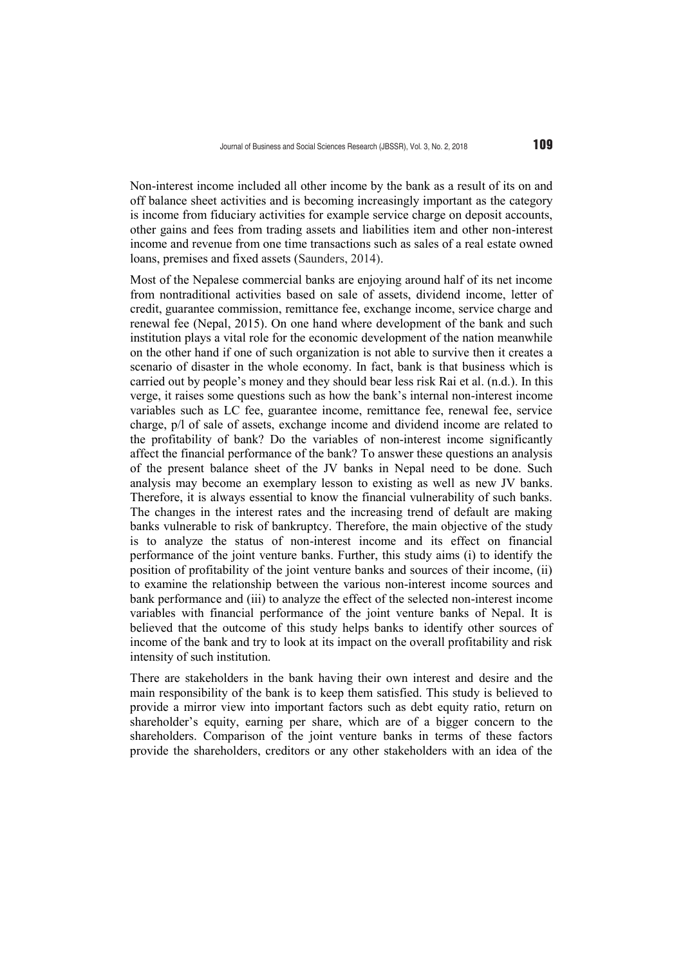Non-interest income included all other income by the bank as a result of its on and off balance sheet activities and is becoming increasingly important as the category is income from fiduciary activities for example service charge on deposit accounts, other gains and fees from trading assets and liabilities item and other non-interest income and revenue from one time transactions such as sales of a real estate owned loans, premises and fixed assets (Saunders, 2014).

Most of the Nepalese commercial banks are enjoying around half of its net income from nontraditional activities based on sale of assets, dividend income, letter of credit, guarantee commission, remittance fee, exchange income, service charge and renewal fee (Nepal, 2015). On one hand where development of the bank and such institution plays a vital role for the economic development of the nation meanwhile on the other hand if one of such organization is not able to survive then it creates a scenario of disaster in the whole economy. In fact, bank is that business which is carried out by people's money and they should bear less risk Rai et al. (n.d.). In this verge, it raises some questions such as how the bank's internal non-interest income variables such as LC fee, guarantee income, remittance fee, renewal fee, service charge, p/l of sale of assets, exchange income and dividend income are related to the profitability of bank? Do the variables of non-interest income significantly affect the financial performance of the bank? To answer these questions an analysis of the present balance sheet of the JV banks in Nepal need to be done. Such analysis may become an exemplary lesson to existing as well as new JV banks. Therefore, it is always essential to know the financial vulnerability of such banks. The changes in the interest rates and the increasing trend of default are making banks vulnerable to risk of bankruptcy. Therefore, the main objective of the study is to analyze the status of non-interest income and its effect on financial performance of the joint venture banks. Further, this study aims (i) to identify the position of profitability of the joint venture banks and sources of their income, (ii) to examine the relationship between the various non-interest income sources and bank performance and (iii) to analyze the effect of the selected non-interest income variables with financial performance of the joint venture banks of Nepal. It is believed that the outcome of this study helps banks to identify other sources of income of the bank and try to look at its impact on the overall profitability and risk intensity of such institution.

There are stakeholders in the bank having their own interest and desire and the main responsibility of the bank is to keep them satisfied. This study is believed to provide a mirror view into important factors such as debt equity ratio, return on shareholder's equity, earning per share, which are of a bigger concern to the shareholders. Comparison of the joint venture banks in terms of these factors provide the shareholders, creditors or any other stakeholders with an idea of the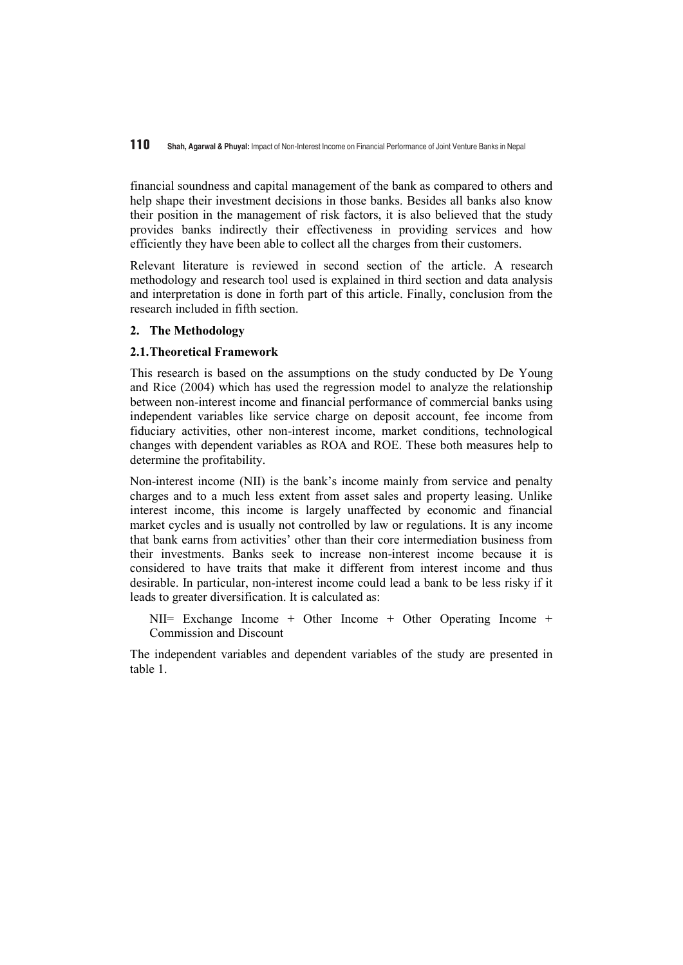financial soundness and capital management of the bank as compared to others and help shape their investment decisions in those banks. Besides all banks also know their position in the management of risk factors, it is also believed that the study provides banks indirectly their effectiveness in providing services and how efficiently they have been able to collect all the charges from their customers.

Relevant literature is reviewed in second section of the article. A research methodology and research tool used is explained in third section and data analysis and interpretation is done in forth part of this article. Finally, conclusion from the research included in fifth section.

# **2. The Methodology**

# **2.1.Theoretical Framework**

This research is based on the assumptions on the study conducted by De Young and Rice (2004) which has used the regression model to analyze the relationship between non-interest income and financial performance of commercial banks using independent variables like service charge on deposit account, fee income from fiduciary activities, other non-interest income, market conditions, technological changes with dependent variables as ROA and ROE. These both measures help to determine the profitability.

Non-interest income (NII) is the bank's income mainly from service and penalty charges and to a much less extent from asset sales and property leasing. Unlike interest income, this income is largely unaffected by economic and financial market cycles and is usually not controlled by law or regulations. It is any income that bank earns from activities' other than their core intermediation business from their investments. Banks seek to increase non-interest income because it is considered to have traits that make it different from interest income and thus desirable. In particular, non-interest income could lead a bank to be less risky if it leads to greater diversification. It is calculated as:

NII= Exchange Income + Other Income + Other Operating Income + Commission and Discount

The independent variables and dependent variables of the study are presented in table 1.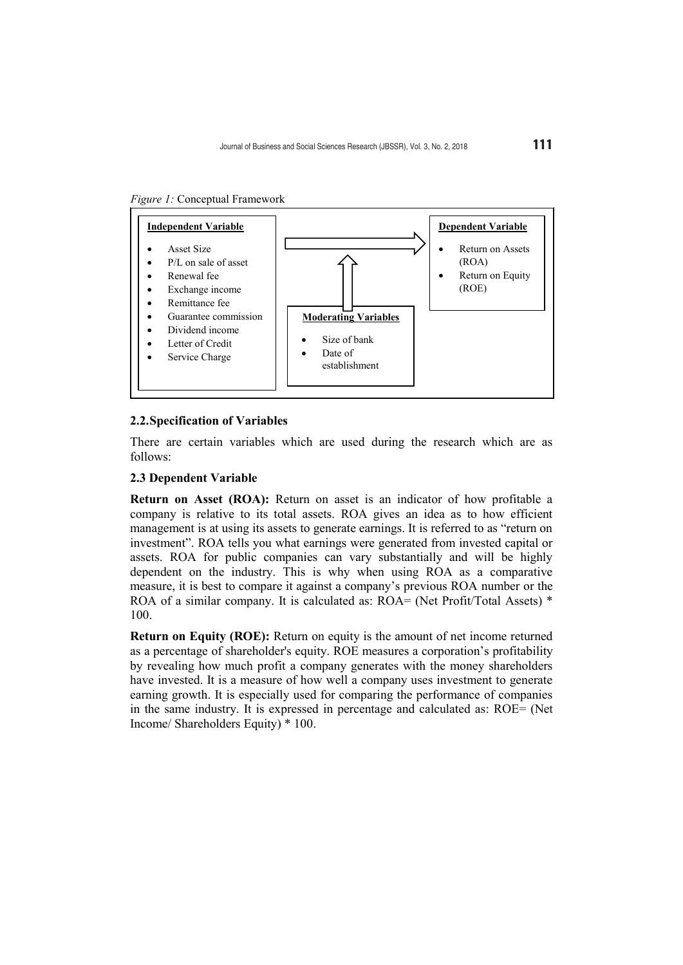*Figure 1:* Conceptual Framework



#### **2.2.Specification of Variables**

There are certain variables which are used during the research which are as follows:

## **2.3 Dependent Variable**

**Return on Asset (ROA):** Return on asset is an indicator of how profitable a company is relative to its total assets. ROA gives an idea as to how efficient management is at using its assets to generate earnings. It is referred to as "return on investment". ROA tells you what earnings were generated from invested capital or assets. ROA for public companies can vary substantially and will be highly dependent on the industry. This is why when using ROA as a comparative measure, it is best to compare it against a company's previous ROA number or the ROA of a similar company. It is calculated as:  $ROA = (Net Profit/Total Assets) *$ 100.

**Return on Equity (ROE):** Return on equity is the amount of net income returned as a percentage of shareholder's equity. ROE measures a corporation's profitability by revealing how much profit a company generates with the money shareholders have invested. It is a measure of how well a company uses investment to generate earning growth. It is especially used for comparing the performance of companies in the same industry. It is expressed in percentage and calculated as: ROE= (Net Income/ Shareholders Equity) \* 100.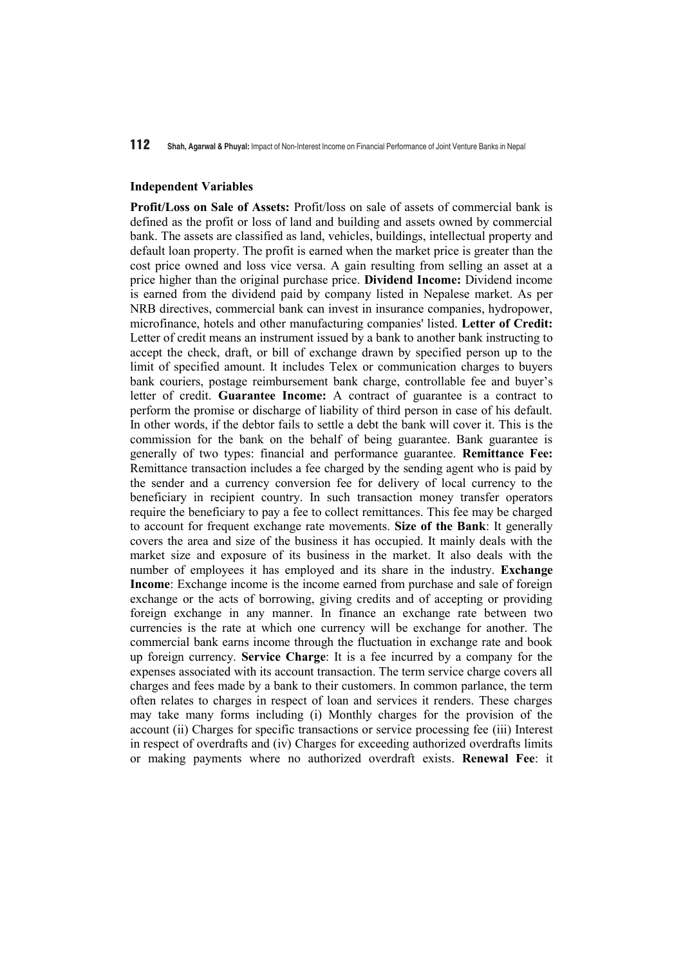#### **Independent Variables**

**Profit/Loss on Sale of Assets:** Profit/loss on sale of assets of commercial bank is defined as the profit or loss of land and building and assets owned by commercial bank. The assets are classified as land, vehicles, buildings, intellectual property and default loan property. The profit is earned when the market price is greater than the cost price owned and loss vice versa. A gain resulting from selling an asset at a price higher than the original purchase price. **Dividend Income:** Dividend income is earned from the dividend paid by company listed in Nepalese market. As per NRB directives, commercial bank can invest in insurance companies, hydropower, microfinance, hotels and other manufacturing companies' listed. **Letter of Credit:**  Letter of credit means an instrument issued by a bank to another bank instructing to accept the check, draft, or bill of exchange drawn by specified person up to the limit of specified amount. It includes Telex or communication charges to buyers bank couriers, postage reimbursement bank charge, controllable fee and buyer's letter of credit. **Guarantee Income:** A contract of guarantee is a contract to perform the promise or discharge of liability of third person in case of his default. In other words, if the debtor fails to settle a debt the bank will cover it. This is the commission for the bank on the behalf of being guarantee. Bank guarantee is generally of two types: financial and performance guarantee. **Remittance Fee:**  Remittance transaction includes a fee charged by the sending agent who is paid by the sender and a currency conversion fee for delivery of local currency to the beneficiary in recipient country. In such transaction money transfer operators require the beneficiary to pay a fee to collect remittances. This fee may be charged to account for frequent exchange rate movements. **Size of the Bank**: It generally covers the area and size of the business it has occupied. It mainly deals with the market size and exposure of its business in the market. It also deals with the number of employees it has employed and its share in the industry. **Exchange Income**: Exchange income is the income earned from purchase and sale of foreign exchange or the acts of borrowing, giving credits and of accepting or providing foreign exchange in any manner. In finance an exchange rate between two currencies is the rate at which one currency will be exchange for another. The commercial bank earns income through the fluctuation in exchange rate and book up foreign currency. **Service Charge**: It is a fee incurred by a company for the expenses associated with its account transaction. The term service charge covers all charges and fees made by a bank to their customers. In common parlance, the term often relates to charges in respect of loan and services it renders. These charges may take many forms including (i) Monthly charges for the provision of the account (ii) Charges for specific transactions or service processing fee (iii) Interest in respect of overdrafts and (iv) Charges for exceeding authorized overdrafts limits or making payments where no authorized overdraft exists. **Renewal Fee**: it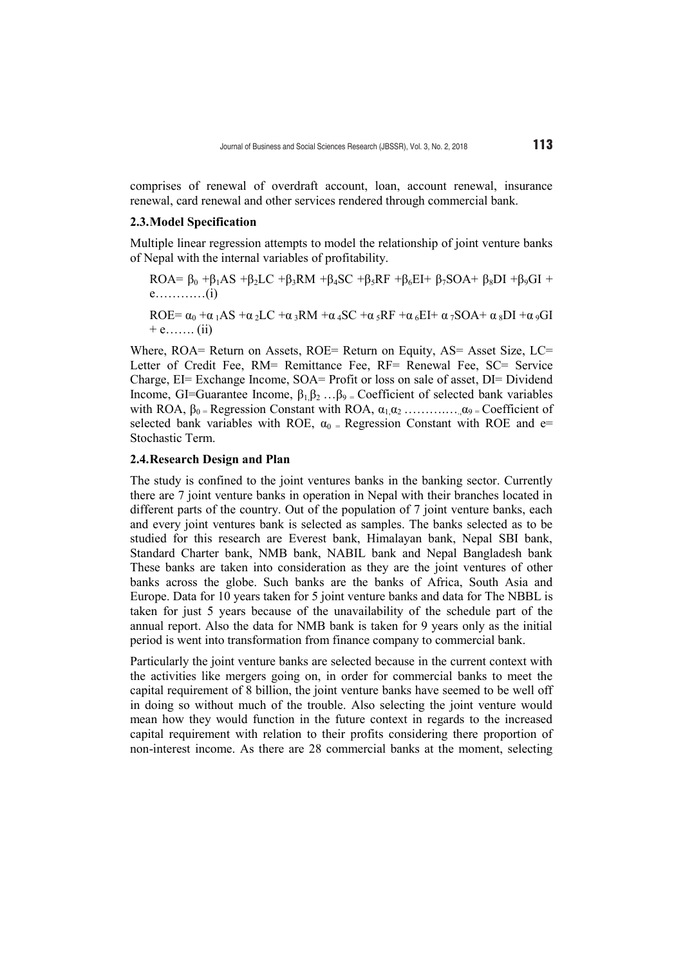comprises of renewal of overdraft account, loan, account renewal, insurance renewal, card renewal and other services rendered through commercial bank.

#### **2.3.Model Specification**

Multiple linear regression attempts to model the relationship of joint venture banks of Nepal with the internal variables of profitability.

ROA= 
$$
\beta_0
$$
 + $\beta_1$ AS + $\beta_2$ LC + $\beta_3$ RM + $\beta_4$ SC + $\beta_5$ RF + $\beta_6$ EI+  $\beta_7$ SOA+  $\beta_8$ DI + $\beta_9$ GI +  
e........(i)

ROE=  $\alpha_0 + \alpha_1 AS + \alpha_2 LC + \alpha_3 RM + \alpha_4 SC + \alpha_5 RF + \alpha_6 EI + \alpha_7 SOA + \alpha_8 DI + \alpha_9 GI$  $+ e$ …….. (ii)

Where, ROA= Return on Assets, ROE= Return on Equity, AS= Asset Size, LC= Letter of Credit Fee, RM= Remittance Fee, RF= Renewal Fee, SC= Service Charge, EI= Exchange Income, SOA= Profit or loss on sale of asset, DI= Dividend Income, GI=Guarantee Income,  $\beta_1 \beta_2 ... \beta_9$  = Coefficient of selected bank variables with ROA,  $\beta_0$  = Regression Constant with ROA,  $\alpha_1 \alpha_2$  ………...  $\alpha_9$  = Coefficient of selected bank variables with ROE,  $\alpha_0$  = Regression Constant with ROE and e= Stochastic Term.

#### **2.4.Research Design and Plan**

The study is confined to the joint ventures banks in the banking sector. Currently there are 7 joint venture banks in operation in Nepal with their branches located in different parts of the country. Out of the population of 7 joint venture banks, each and every joint ventures bank is selected as samples. The banks selected as to be studied for this research are Everest bank, Himalayan bank, Nepal SBI bank, Standard Charter bank, NMB bank, NABIL bank and Nepal Bangladesh bank These banks are taken into consideration as they are the joint ventures of other banks across the globe. Such banks are the banks of Africa, South Asia and Europe. Data for 10 years taken for 5 joint venture banks and data for The NBBL is taken for just 5 years because of the unavailability of the schedule part of the annual report. Also the data for NMB bank is taken for 9 years only as the initial period is went into transformation from finance company to commercial bank.

Particularly the joint venture banks are selected because in the current context with the activities like mergers going on, in order for commercial banks to meet the capital requirement of 8 billion, the joint venture banks have seemed to be well off in doing so without much of the trouble. Also selecting the joint venture would mean how they would function in the future context in regards to the increased capital requirement with relation to their profits considering there proportion of non-interest income. As there are 28 commercial banks at the moment, selecting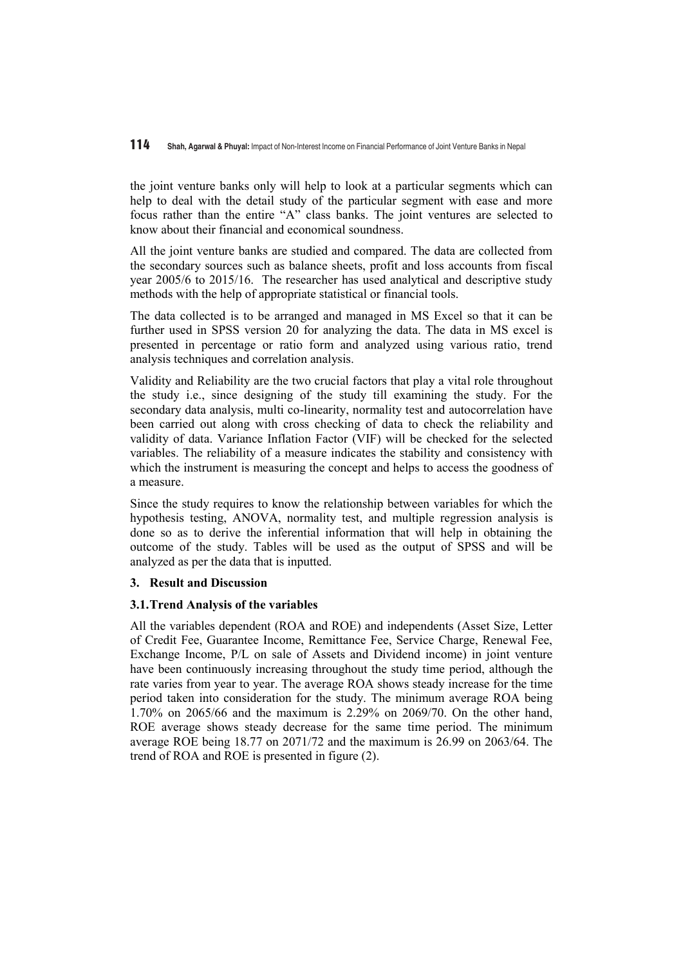the joint venture banks only will help to look at a particular segments which can help to deal with the detail study of the particular segment with ease and more focus rather than the entire "A" class banks. The joint ventures are selected to know about their financial and economical soundness.

All the joint venture banks are studied and compared. The data are collected from the secondary sources such as balance sheets, profit and loss accounts from fiscal year 2005/6 to 2015/16. The researcher has used analytical and descriptive study methods with the help of appropriate statistical or financial tools.

The data collected is to be arranged and managed in MS Excel so that it can be further used in SPSS version 20 for analyzing the data. The data in MS excel is presented in percentage or ratio form and analyzed using various ratio, trend analysis techniques and correlation analysis.

Validity and Reliability are the two crucial factors that play a vital role throughout the study i.e., since designing of the study till examining the study. For the secondary data analysis, multi co-linearity, normality test and autocorrelation have been carried out along with cross checking of data to check the reliability and validity of data. Variance Inflation Factor (VIF) will be checked for the selected variables. The reliability of a measure indicates the stability and consistency with which the instrument is measuring the concept and helps to access the goodness of a measure.

Since the study requires to know the relationship between variables for which the hypothesis testing, ANOVA, normality test, and multiple regression analysis is done so as to derive the inferential information that will help in obtaining the outcome of the study. Tables will be used as the output of SPSS and will be analyzed as per the data that is inputted.

# **3. Result and Discussion**

# **3.1.Trend Analysis of the variables**

All the variables dependent (ROA and ROE) and independents (Asset Size, Letter of Credit Fee, Guarantee Income, Remittance Fee, Service Charge, Renewal Fee, Exchange Income, P/L on sale of Assets and Dividend income) in joint venture have been continuously increasing throughout the study time period, although the rate varies from year to year. The average ROA shows steady increase for the time period taken into consideration for the study. The minimum average ROA being 1.70% on 2065/66 and the maximum is 2.29% on 2069/70. On the other hand, ROE average shows steady decrease for the same time period. The minimum average ROE being 18.77 on 2071/72 and the maximum is 26.99 on 2063/64. The trend of ROA and ROE is presented in figure (2).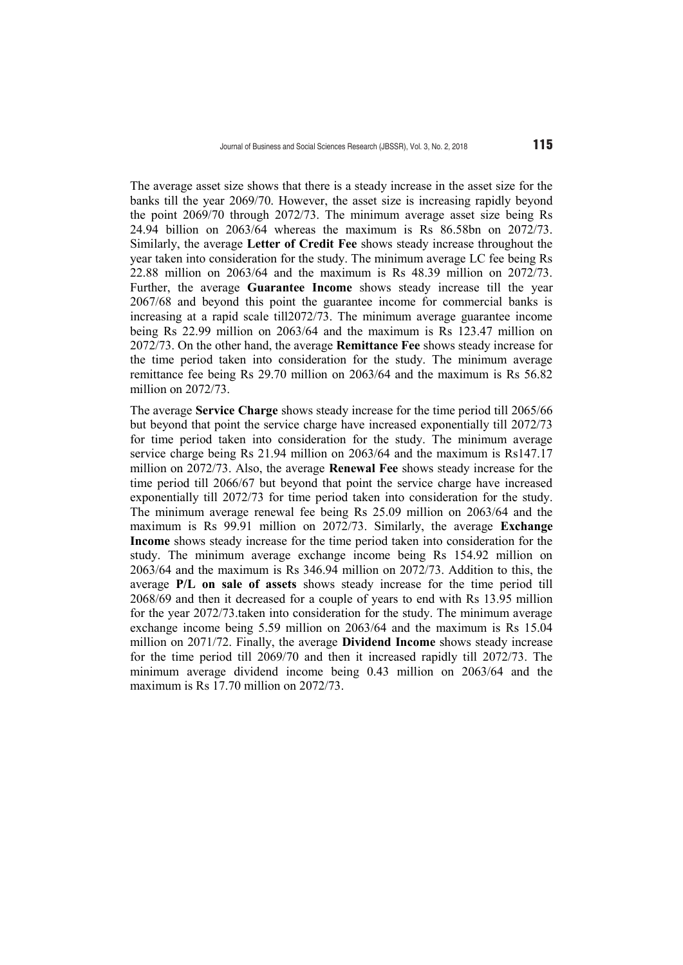The average asset size shows that there is a steady increase in the asset size for the banks till the year 2069/70. However, the asset size is increasing rapidly beyond the point 2069/70 through 2072/73. The minimum average asset size being Rs 24.94 billion on 2063/64 whereas the maximum is Rs 86.58bn on 2072/73. Similarly, the average **Letter of Credit Fee** shows steady increase throughout the year taken into consideration for the study. The minimum average LC fee being Rs 22.88 million on 2063/64 and the maximum is Rs 48.39 million on 2072/73. Further, the average **Guarantee Income** shows steady increase till the year 2067/68 and beyond this point the guarantee income for commercial banks is increasing at a rapid scale till2072/73. The minimum average guarantee income being Rs 22.99 million on 2063/64 and the maximum is Rs 123.47 million on 2072/73. On the other hand, the average **Remittance Fee** shows steady increase for the time period taken into consideration for the study. The minimum average remittance fee being Rs 29.70 million on 2063/64 and the maximum is Rs 56.82 million on 2072/73.

The average **Service Charge** shows steady increase for the time period till 2065/66 but beyond that point the service charge have increased exponentially till 2072/73 for time period taken into consideration for the study. The minimum average service charge being Rs 21.94 million on 2063/64 and the maximum is Rs147.17 million on 2072/73. Also, the average **Renewal Fee** shows steady increase for the time period till 2066/67 but beyond that point the service charge have increased exponentially till 2072/73 for time period taken into consideration for the study. The minimum average renewal fee being Rs 25.09 million on 2063/64 and the maximum is Rs 99.91 million on 2072/73. Similarly, the average **Exchange Income** shows steady increase for the time period taken into consideration for the study. The minimum average exchange income being Rs 154.92 million on 2063/64 and the maximum is Rs 346.94 million on 2072/73. Addition to this, the average **P/L on sale of assets** shows steady increase for the time period till 2068/69 and then it decreased for a couple of years to end with Rs 13.95 million for the year 2072/73.taken into consideration for the study. The minimum average exchange income being 5.59 million on 2063/64 and the maximum is Rs 15.04 million on 2071/72. Finally, the average **Dividend Income** shows steady increase for the time period till 2069/70 and then it increased rapidly till 2072/73. The minimum average dividend income being 0.43 million on 2063/64 and the maximum is Rs 17.70 million on 2072/73.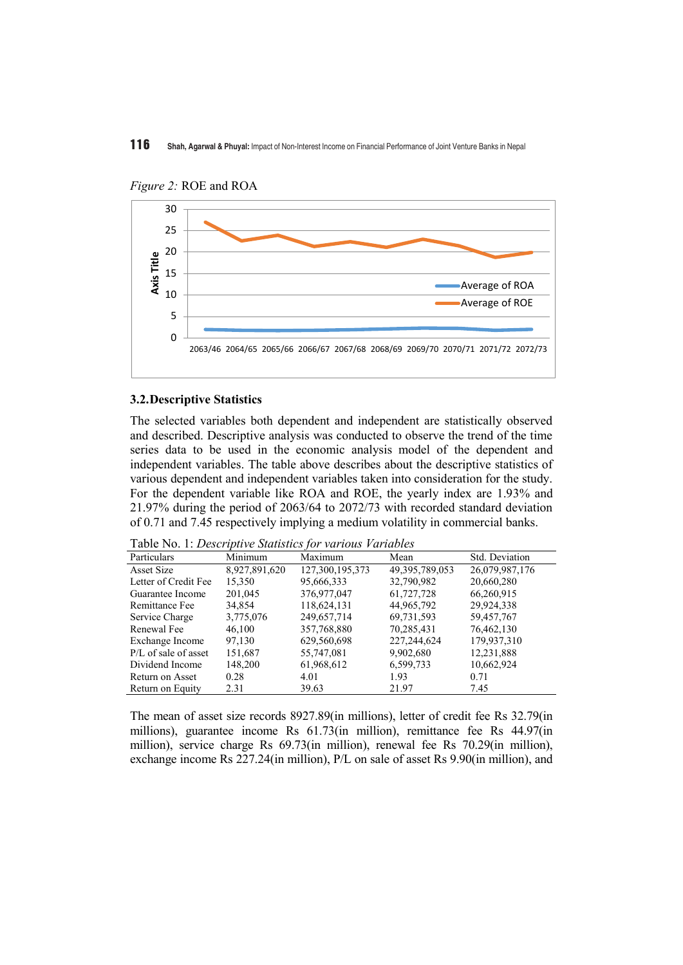

*Figure 2:* ROE and ROA

# **3.2.Descriptive Statistics**

The selected variables both dependent and independent are statistically observed and described. Descriptive analysis was conducted to observe the trend of the time series data to be used in the economic analysis model of the dependent and independent variables. The table above describes about the descriptive statistics of various dependent and independent variables taken into consideration for the study. For the dependent variable like ROA and ROE, the yearly index are 1.93% and 21.97% during the period of 2063/64 to 2072/73 with recorded standard deviation of 0.71 and 7.45 respectively implying a medium volatility in commercial banks.

Table No. 1: *Descriptive Statistics for various Variables*

| Tuble Tw. 1. Descriptive Blutistics for various rariables |               |                 |                |                |  |  |  |
|-----------------------------------------------------------|---------------|-----------------|----------------|----------------|--|--|--|
| Particulars                                               | Minimum       | Maximum         | Mean           | Std. Deviation |  |  |  |
| Asset Size                                                | 8,927,891,620 | 127,300,195,373 | 49,395,789,053 | 26,079,987,176 |  |  |  |
| Letter of Credit Fee                                      | 15,350        | 95,666,333      | 32,790,982     | 20,660,280     |  |  |  |
| Guarantee Income                                          | 201,045       | 376,977,047     | 61,727,728     | 66,260,915     |  |  |  |
| Remittance Fee                                            | 34,854        | 118,624,131     | 44,965,792     | 29,924,338     |  |  |  |
| Service Charge                                            | 3,775,076     | 249,657,714     | 69,731,593     | 59,457,767     |  |  |  |
| Renewal Fee                                               | 46,100        | 357,768,880     | 70,285,431     | 76,462,130     |  |  |  |
| Exchange Income                                           | 97,130        | 629,560,698     | 227,244,624    | 179,937,310    |  |  |  |
| $P/L$ of sale of asset                                    | 151,687       | 55,747,081      | 9,902,680      | 12,231,888     |  |  |  |
| Dividend Income                                           | 148,200       | 61,968,612      | 6,599,733      | 10,662,924     |  |  |  |
| Return on Asset                                           | 0.28          | 4.01            | 1.93           | 0.71           |  |  |  |
| Return on Equity                                          | 2.31          | 39.63           | 21.97          | 7.45           |  |  |  |

The mean of asset size records 8927.89(in millions), letter of credit fee Rs 32.79(in millions), guarantee income Rs 61.73(in million), remittance fee Rs 44.97(in million), service charge Rs 69.73(in million), renewal fee Rs 70.29(in million), exchange income Rs 227.24(in million), P/L on sale of asset Rs 9.90(in million), and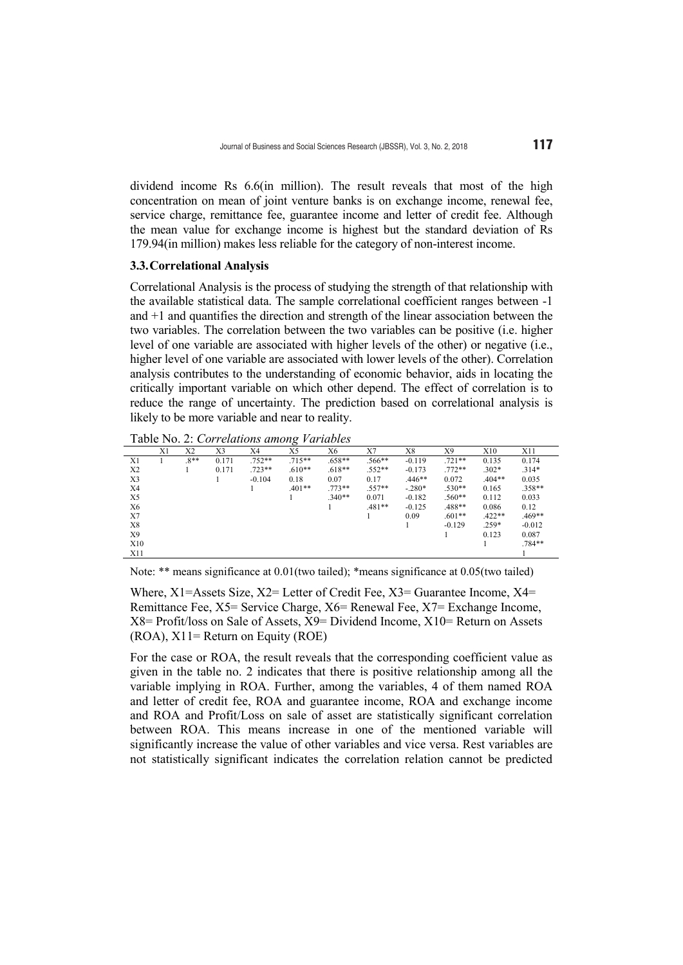dividend income Rs 6.6(in million). The result reveals that most of the high concentration on mean of joint venture banks is on exchange income, renewal fee, service charge, remittance fee, guarantee income and letter of credit fee. Although the mean value for exchange income is highest but the standard deviation of Rs 179.94(in million) makes less reliable for the category of non-interest income.

#### **3.3.Correlational Analysis**

Correlational Analysis is the process of studying the strength of that relationship with the available statistical data. The sample correlational coefficient ranges between -1 and +1 and quantifies the direction and strength of the linear association between the two variables. The correlation between the two variables can be positive (i.e. higher level of one variable are associated with higher levels of the other) or negative (i.e., higher level of one variable are associated with lower levels of the other). Correlation analysis contributes to the understanding of economic behavior, aids in locating the critically important variable on which other depend. The effect of correlation is to reduce the range of uncertainty. The prediction based on correlational analysis is likely to be more variable and near to reality.

Table No. 2: *Correlations among Variables*

|                | X1 | X2    | X3    | X4       | $\check{ }$<br>X5 | Х6       | X7       | X8       | Х9       | X10      | X11      |
|----------------|----|-------|-------|----------|-------------------|----------|----------|----------|----------|----------|----------|
| X1             |    | $8**$ | 0.171 | 752**    | $.715**$          | $.658**$ | $.566**$ | $-0.119$ | $.721**$ | 0.135    | 0.174    |
| X <sub>2</sub> |    |       | 0.171 | $.723**$ | $.610**$          | $.618**$ | $.552**$ | $-0.173$ | $.772**$ | $.302*$  | $.314*$  |
| X3             |    |       |       | $-0.104$ | 0.18              | 0.07     | 0.17     | $.446**$ | 0.072    | $.404**$ | 0.035    |
| X <sub>4</sub> |    |       |       |          | $.401**$          | $.773**$ | $.557**$ | $-280*$  | $.530**$ | 0.165    | $.358**$ |
| X5             |    |       |       |          |                   | $.340**$ | 0.071    | $-0.182$ | $.560**$ | 0.112    | 0.033    |
| X6             |    |       |       |          |                   |          | $.481**$ | $-0.125$ | .488**   | 0.086    | 0.12     |
| X7             |    |       |       |          |                   |          |          | 0.09     | $.601**$ | $.422**$ | $.469**$ |
| X8             |    |       |       |          |                   |          |          |          | $-0.129$ | $.259*$  | $-0.012$ |
| X9             |    |       |       |          |                   |          |          |          |          | 0.123    | 0.087    |
| X10            |    |       |       |          |                   |          |          |          |          |          | $.784**$ |
| X11            |    |       |       |          |                   |          |          |          |          |          |          |

Note: \*\* means significance at 0.01(two tailed); \*means significance at 0.05(two tailed)

Where, X1=Assets Size, X2= Letter of Credit Fee, X3= Guarantee Income, X4= Remittance Fee, X5= Service Charge, X6= Renewal Fee, X7= Exchange Income,  $X8 =$  Profit/loss on Sale of Assets,  $X9 =$  Dividend Income,  $X10 =$  Return on Assets  $(ROA)$ ,  $X11 = Return on Equity (ROE)$ 

For the case or ROA, the result reveals that the corresponding coefficient value as given in the table no. 2 indicates that there is positive relationship among all the variable implying in ROA. Further, among the variables, 4 of them named ROA and letter of credit fee, ROA and guarantee income, ROA and exchange income and ROA and Profit/Loss on sale of asset are statistically significant correlation between ROA. This means increase in one of the mentioned variable will significantly increase the value of other variables and vice versa. Rest variables are not statistically significant indicates the correlation relation cannot be predicted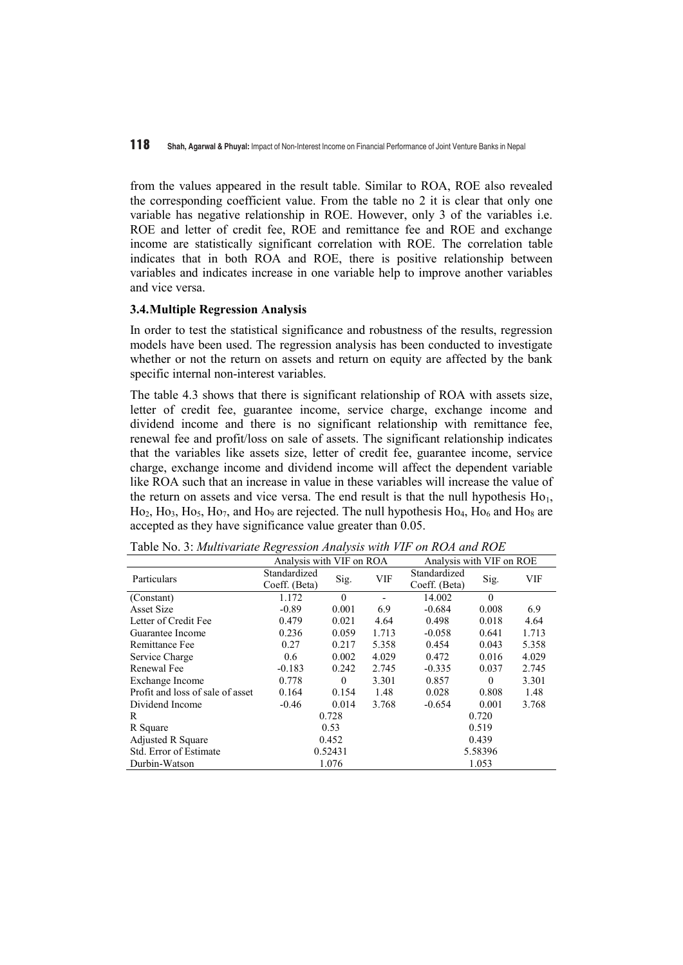from the values appeared in the result table. Similar to ROA, ROE also revealed the corresponding coefficient value. From the table no 2 it is clear that only one variable has negative relationship in ROE. However, only 3 of the variables i.e. ROE and letter of credit fee, ROE and remittance fee and ROE and exchange income are statistically significant correlation with ROE. The correlation table indicates that in both ROA and ROE, there is positive relationship between variables and indicates increase in one variable help to improve another variables and vice versa.

#### **3.4.Multiple Regression Analysis**

In order to test the statistical significance and robustness of the results, regression models have been used. The regression analysis has been conducted to investigate whether or not the return on assets and return on equity are affected by the bank specific internal non-interest variables.

The table 4.3 shows that there is significant relationship of ROA with assets size, letter of credit fee, guarantee income, service charge, exchange income and dividend income and there is no significant relationship with remittance fee, renewal fee and profit/loss on sale of assets. The significant relationship indicates that the variables like assets size, letter of credit fee, guarantee income, service charge, exchange income and dividend income will affect the dependent variable like ROA such that an increase in value in these variables will increase the value of the return on assets and vice versa. The end result is that the null hypothesis  $Ho<sub>1</sub>$ ,  $Ho_2$ ,  $Ho_3$ ,  $Ho_5$ ,  $Ho_7$ , and  $Ho_9$  are rejected. The null hypothesis  $Ho_4$ ,  $Ho_6$  and  $Ho_8$  are accepted as they have significance value greater than 0.05.

|                                  | Analysis with VIF on ROA |          |            | Analysis with VIF on ROE |          |            |  |
|----------------------------------|--------------------------|----------|------------|--------------------------|----------|------------|--|
| Particulars                      | Standardized             | Sig.     | <b>VIF</b> | Standardized             | Sig.     | <b>VIF</b> |  |
|                                  | Coeff. (Beta)            |          |            | Coeff. (Beta)            |          |            |  |
| (Constant)                       | 1.172                    | $\theta$ |            | 14.002                   | $\theta$ |            |  |
| <b>Asset Size</b>                | $-0.89$                  | 0.001    | 6.9        | $-0.684$                 | 0.008    | 6.9        |  |
| Letter of Credit Fee             | 0.479                    | 0.021    | 4.64       | 0.498                    | 0.018    | 4.64       |  |
| Guarantee Income                 | 0.236                    | 0.059    | 1.713      | $-0.058$                 | 0.641    | 1.713      |  |
| Remittance Fee                   | 0.27                     | 0.217    | 5.358      | 0.454                    | 0.043    | 5.358      |  |
| Service Charge                   | 0.6                      | 0.002    | 4.029      | 0.472                    | 0.016    | 4.029      |  |
| Renewal Fee                      | $-0.183$                 | 0.242    | 2.745      | $-0.335$                 | 0.037    | 2.745      |  |
| Exchange Income                  | 0.778                    | $\theta$ | 3.301      | 0.857                    | $\theta$ | 3.301      |  |
| Profit and loss of sale of asset | 0.164                    | 0.154    | 1.48       | 0.028                    | 0.808    | 1.48       |  |
| Dividend Income                  | $-0.46$                  | 0.014    | 3.768      | $-0.654$                 | 0.001    | 3.768      |  |
| R                                |                          | 0.728    |            |                          | 0.720    |            |  |
| R Square                         |                          | 0.53     |            |                          | 0.519    |            |  |
| <b>Adjusted R Square</b>         |                          | 0.452    |            |                          | 0.439    |            |  |
| Std. Error of Estimate           |                          | 0.52431  |            |                          | 5.58396  |            |  |
| Durbin-Watson                    |                          | 1.076    |            |                          | 1.053    |            |  |

Table No. 3: *Multivariate Regression Analysis with VIF on ROA and ROE*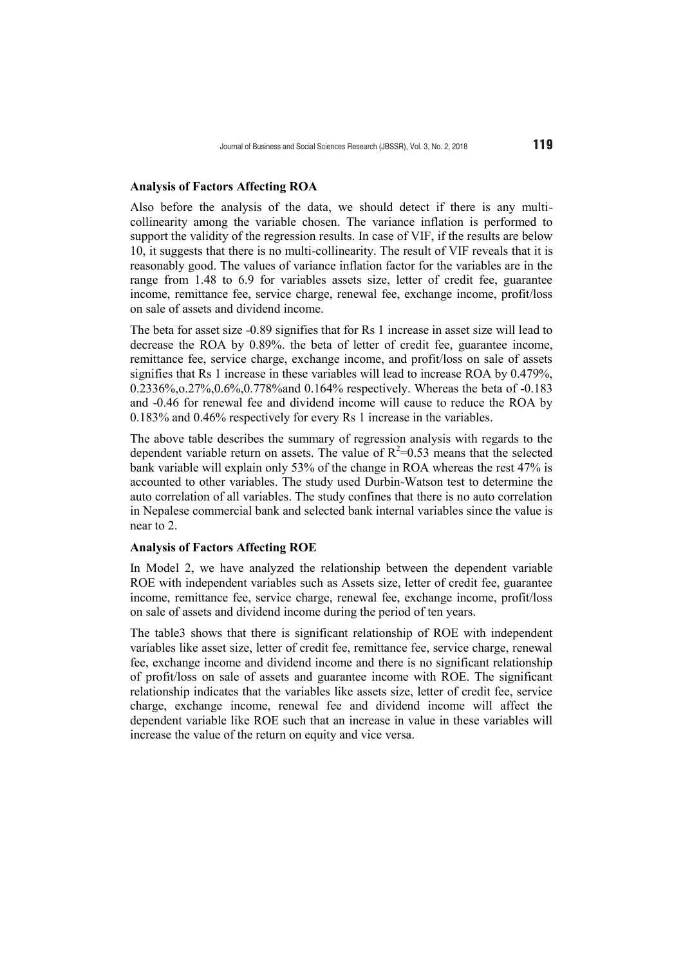#### **Analysis of Factors Affecting ROA**

Also before the analysis of the data, we should detect if there is any multicollinearity among the variable chosen. The variance inflation is performed to support the validity of the regression results. In case of VIF, if the results are below 10, it suggests that there is no multi-collinearity. The result of VIF reveals that it is reasonably good. The values of variance inflation factor for the variables are in the range from 1.48 to 6.9 for variables assets size, letter of credit fee, guarantee income, remittance fee, service charge, renewal fee, exchange income, profit/loss on sale of assets and dividend income.

The beta for asset size -0.89 signifies that for Rs 1 increase in asset size will lead to decrease the ROA by 0.89%. the beta of letter of credit fee, guarantee income, remittance fee, service charge, exchange income, and profit/loss on sale of assets signifies that Rs 1 increase in these variables will lead to increase ROA by 0.479%, 0.2336%,o.27%,0.6%,0.778%and 0.164% respectively. Whereas the beta of -0.183 and -0.46 for renewal fee and dividend income will cause to reduce the ROA by 0.183% and 0.46% respectively for every Rs 1 increase in the variables.

The above table describes the summary of regression analysis with regards to the dependent variable return on assets. The value of  $R^2$ =0.53 means that the selected bank variable will explain only 53% of the change in ROA whereas the rest 47% is accounted to other variables. The study used Durbin-Watson test to determine the auto correlation of all variables. The study confines that there is no auto correlation in Nepalese commercial bank and selected bank internal variables since the value is near to 2.

# **Analysis of Factors Affecting ROE**

In Model 2, we have analyzed the relationship between the dependent variable ROE with independent variables such as Assets size, letter of credit fee, guarantee income, remittance fee, service charge, renewal fee, exchange income, profit/loss on sale of assets and dividend income during the period of ten years.

The table3 shows that there is significant relationship of ROE with independent variables like asset size, letter of credit fee, remittance fee, service charge, renewal fee, exchange income and dividend income and there is no significant relationship of profit/loss on sale of assets and guarantee income with ROE. The significant relationship indicates that the variables like assets size, letter of credit fee, service charge, exchange income, renewal fee and dividend income will affect the dependent variable like ROE such that an increase in value in these variables will increase the value of the return on equity and vice versa.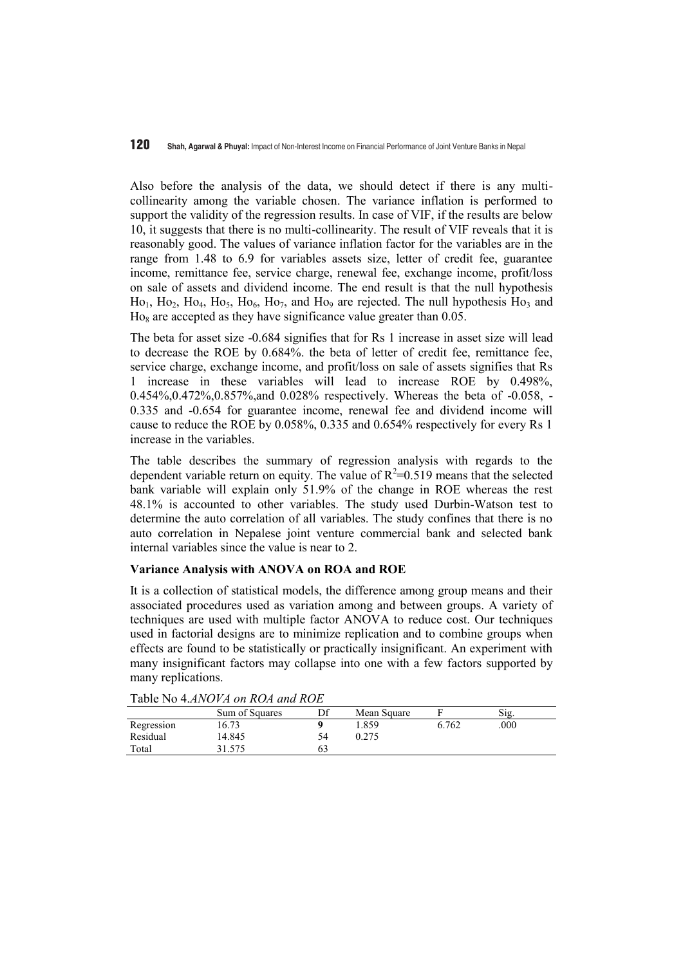Also before the analysis of the data, we should detect if there is any multicollinearity among the variable chosen. The variance inflation is performed to support the validity of the regression results. In case of VIF, if the results are below 10, it suggests that there is no multi-collinearity. The result of VIF reveals that it is reasonably good. The values of variance inflation factor for the variables are in the range from 1.48 to 6.9 for variables assets size, letter of credit fee, guarantee income, remittance fee, service charge, renewal fee, exchange income, profit/loss on sale of assets and dividend income. The end result is that the null hypothesis  $Ho<sub>1</sub>, Ho<sub>2</sub>, Ho<sub>4</sub>, Ho<sub>5</sub>, Ho<sub>6</sub>, Ho<sub>7</sub>, and Ho<sub>9</sub> are rejected. The null hypothesis Ho<sub>3</sub> and$  $Ho<sub>8</sub>$  are accepted as they have significance value greater than 0.05.

The beta for asset size -0.684 signifies that for Rs 1 increase in asset size will lead to decrease the ROE by 0.684%. the beta of letter of credit fee, remittance fee, service charge, exchange income, and profit/loss on sale of assets signifies that Rs 1 increase in these variables will lead to increase ROE by 0.498%, 0.454%,0.472%,0.857%,and 0.028% respectively. Whereas the beta of -0.058, - 0.335 and -0.654 for guarantee income, renewal fee and dividend income will cause to reduce the ROE by 0.058%, 0.335 and 0.654% respectively for every Rs 1 increase in the variables.

The table describes the summary of regression analysis with regards to the dependent variable return on equity. The value of  $R^2 = 0.519$  means that the selected bank variable will explain only 51.9% of the change in ROE whereas the rest 48.1% is accounted to other variables. The study used Durbin-Watson test to determine the auto correlation of all variables. The study confines that there is no auto correlation in Nepalese joint venture commercial bank and selected bank internal variables since the value is near to 2.

# **Variance Analysis with ANOVA on ROA and ROE**

It is a collection of statistical models, the difference among group means and their associated procedures used as variation among and between groups. A variety of techniques are used with multiple factor ANOVA to reduce cost. Our techniques used in factorial designs are to minimize replication and to combine groups when effects are found to be statistically or practically insignificant. An experiment with many insignificant factors may collapse into one with a few factors supported by many replications.

| TAUIC INU 4.AINU VA UN NUA UNU NUE |                |    |             |       |      |  |  |
|------------------------------------|----------------|----|-------------|-------|------|--|--|
|                                    | Sum of Squares | Df | Mean Square |       | Sig. |  |  |
| Regression                         | 16.73          |    | .859        | 6.762 | .000 |  |  |
| Residual                           | 14.845         | 54 | 0.275       |       |      |  |  |
| Total                              | 31.575         | 63 |             |       |      |  |  |

Table No 4.*ANOVA on ROA and ROE*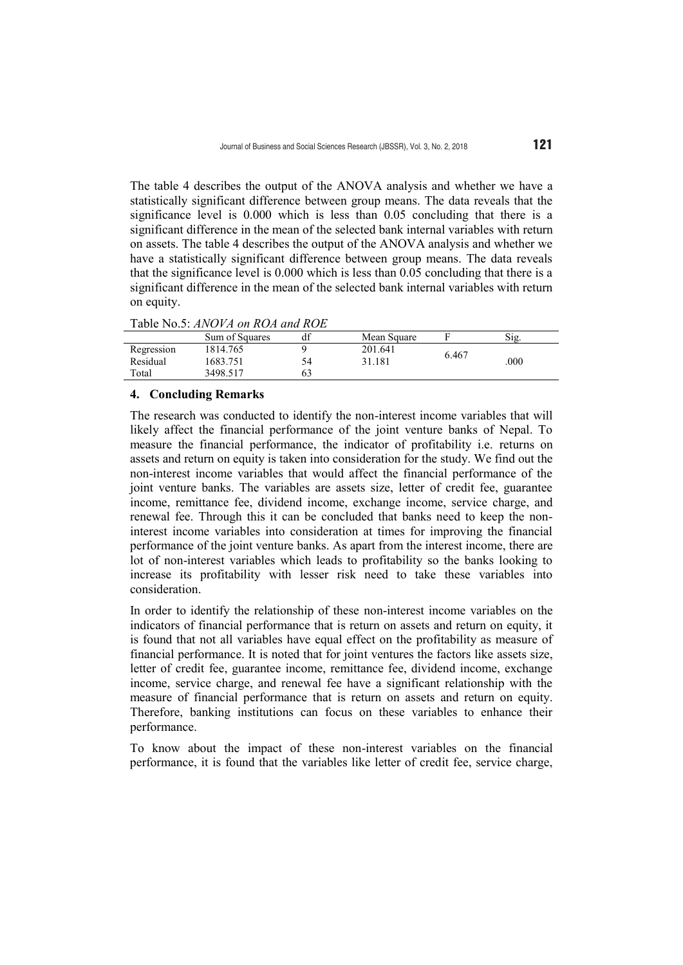The table 4 describes the output of the ANOVA analysis and whether we have a statistically significant difference between group means. The data reveals that the significance level is 0.000 which is less than 0.05 concluding that there is a significant difference in the mean of the selected bank internal variables with return on assets. The table 4 describes the output of the ANOVA analysis and whether we have a statistically significant difference between group means. The data reveals that the significance level is 0.000 which is less than 0.05 concluding that there is a significant difference in the mean of the selected bank internal variables with return on equity.

| 10010 100.0.11110 / 11 01 11011 0110 1101 |                |    |             |       |      |  |  |
|-------------------------------------------|----------------|----|-------------|-------|------|--|--|
|                                           | Sum of Squares | df | Mean Square |       | Sig. |  |  |
| Regression                                | 1814.765       |    | 201.641     | 6.467 |      |  |  |
| Residual                                  | 1683.751       | 54 | 31.181      |       | .000 |  |  |
| Total                                     | 3498.517       |    |             |       |      |  |  |

## **4. Concluding Remarks**

The research was conducted to identify the non-interest income variables that will likely affect the financial performance of the joint venture banks of Nepal. To measure the financial performance, the indicator of profitability i.e. returns on assets and return on equity is taken into consideration for the study. We find out the non-interest income variables that would affect the financial performance of the joint venture banks. The variables are assets size, letter of credit fee, guarantee income, remittance fee, dividend income, exchange income, service charge, and renewal fee. Through this it can be concluded that banks need to keep the noninterest income variables into consideration at times for improving the financial performance of the joint venture banks. As apart from the interest income, there are lot of non-interest variables which leads to profitability so the banks looking to increase its profitability with lesser risk need to take these variables into consideration.

In order to identify the relationship of these non-interest income variables on the indicators of financial performance that is return on assets and return on equity, it is found that not all variables have equal effect on the profitability as measure of financial performance. It is noted that for joint ventures the factors like assets size, letter of credit fee, guarantee income, remittance fee, dividend income, exchange income, service charge, and renewal fee have a significant relationship with the measure of financial performance that is return on assets and return on equity. Therefore, banking institutions can focus on these variables to enhance their performance.

To know about the impact of these non-interest variables on the financial performance, it is found that the variables like letter of credit fee, service charge,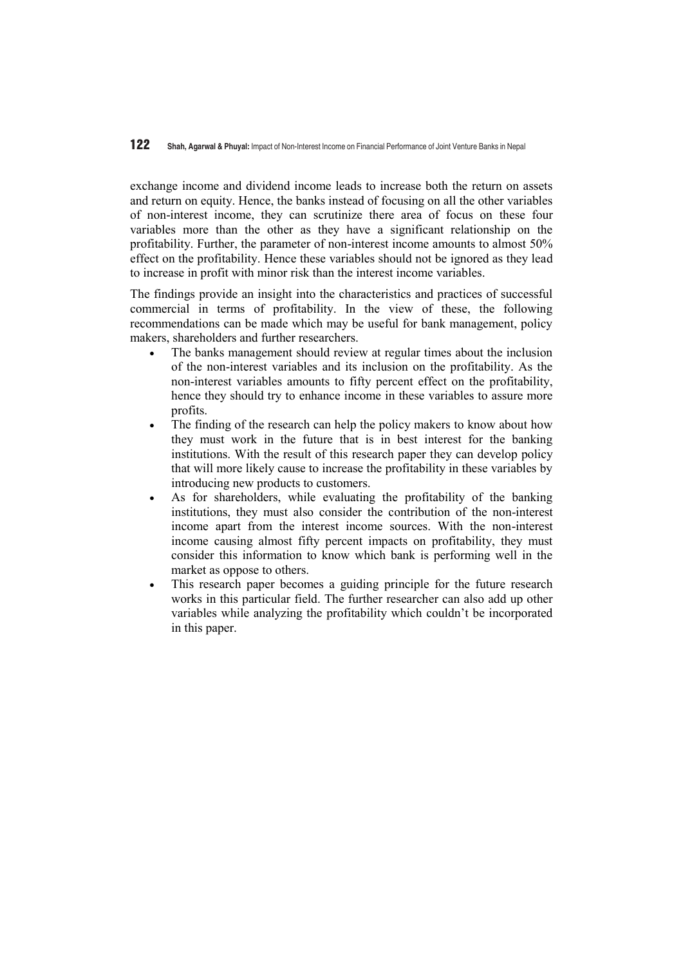exchange income and dividend income leads to increase both the return on assets and return on equity. Hence, the banks instead of focusing on all the other variables of non-interest income, they can scrutinize there area of focus on these four variables more than the other as they have a significant relationship on the profitability. Further, the parameter of non-interest income amounts to almost 50% effect on the profitability. Hence these variables should not be ignored as they lead to increase in profit with minor risk than the interest income variables.

The findings provide an insight into the characteristics and practices of successful commercial in terms of profitability. In the view of these, the following recommendations can be made which may be useful for bank management, policy makers, shareholders and further researchers.

- The banks management should review at regular times about the inclusion of the non-interest variables and its inclusion on the profitability. As the non-interest variables amounts to fifty percent effect on the profitability, hence they should try to enhance income in these variables to assure more profits.
- The finding of the research can help the policy makers to know about how they must work in the future that is in best interest for the banking institutions. With the result of this research paper they can develop policy that will more likely cause to increase the profitability in these variables by introducing new products to customers.
- As for shareholders, while evaluating the profitability of the banking institutions, they must also consider the contribution of the non-interest income apart from the interest income sources. With the non-interest income causing almost fifty percent impacts on profitability, they must consider this information to know which bank is performing well in the market as oppose to others.
- This research paper becomes a guiding principle for the future research works in this particular field. The further researcher can also add up other variables while analyzing the profitability which couldn't be incorporated in this paper.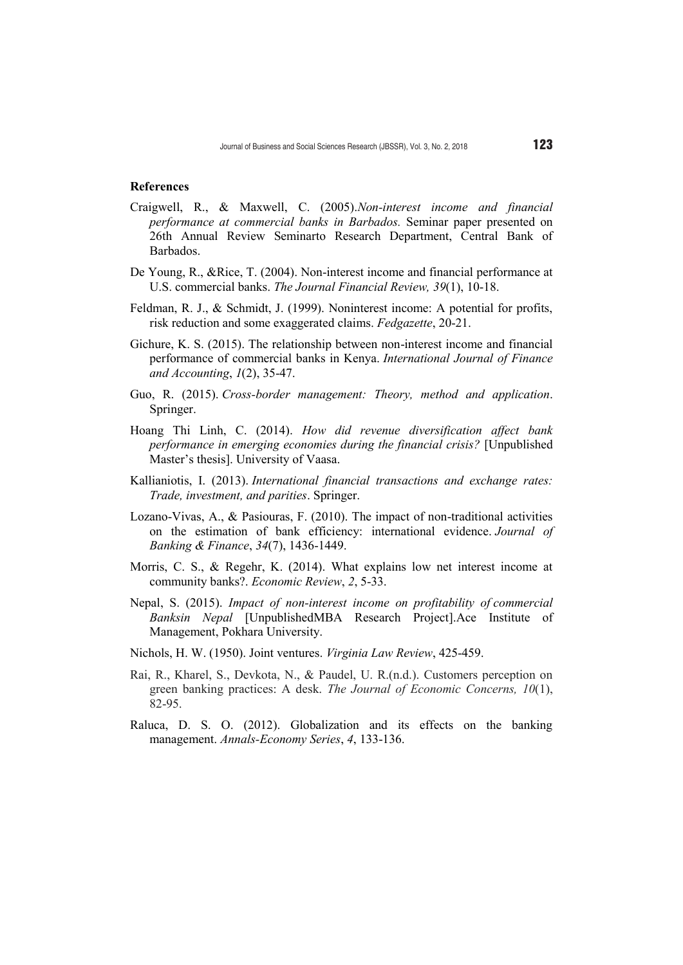#### **References**

- Craigwell, R., & Maxwell, C. (2005).*Non-interest income and financial performance at commercial banks in Barbados.* Seminar paper presented on 26th Annual Review Seminarto Research Department, Central Bank of Barbados.
- De Young, R., &Rice, T. (2004). Non-interest income and financial performance at U.S. commercial banks. *The Journal Financial Review, 39*(1), 10-18.
- Feldman, R. J., & Schmidt, J. (1999). Noninterest income: A potential for profits, risk reduction and some exaggerated claims. *Fedgazette*, 20-21.
- Gichure, K. S. (2015). The relationship between non-interest income and financial performance of commercial banks in Kenya. *International Journal of Finance and Accounting*, *1*(2), 35-47.
- Guo, R. (2015). *Cross-border management: Theory, method and application*. Springer.
- Hoang Thi Linh, C. (2014). *How did revenue diversification affect bank performance in emerging economies during the financial crisis?* [Unpublished Master's thesis]. University of Vaasa.
- Kallianiotis, I. (2013). *International financial transactions and exchange rates: Trade, investment, and parities*. Springer.
- Lozano-Vivas, A., & Pasiouras, F. (2010). The impact of non-traditional activities on the estimation of bank efficiency: international evidence. *Journal of Banking & Finance*, *34*(7), 1436-1449.
- Morris, C. S., & Regehr, K. (2014). What explains low net interest income at community banks?. *Economic Review*, *2*, 5-33.
- Nepal, S. (2015). *Impact of non-interest income on profitability of commercial Banksin Nepal* [UnpublishedMBA Research Project].Ace Institute of Management, Pokhara University.
- Nichols, H. W. (1950). Joint ventures. *Virginia Law Review*, 425-459.
- Rai, R., Kharel, S., Devkota, N., & Paudel, U. R.(n.d.). Customers perception on green banking practices: A desk. *The Journal of Economic Concerns, 10*(1), 82-95.
- Raluca, D. S. O. (2012). Globalization and its effects on the banking management. *Annals-Economy Series*, *4*, 133-136.